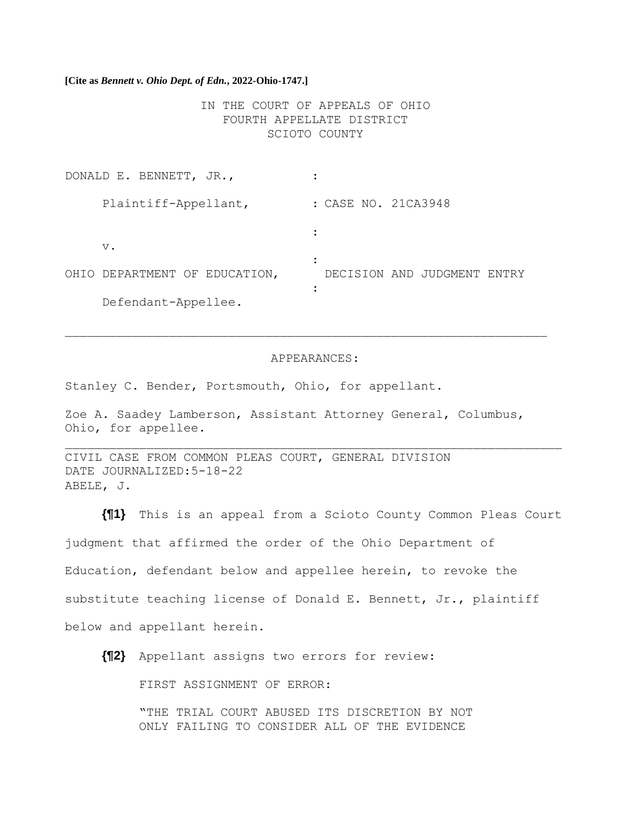**[Cite as** *Bennett v. Ohio Dept. of Edn.***, 2022-Ohio-1747.]**

IN THE COURT OF APPEALS OF OHIO FOURTH APPELLATE DISTRICT SCIOTO COUNTY

| DONALD E. BENNETT, JR.,       |                                |
|-------------------------------|--------------------------------|
| Plaintiff-Appellant,          | : CASE NO. 21CA3948            |
| $V$ .                         |                                |
|                               |                                |
| OHIO DEPARTMENT OF EDUCATION, | DECISION AND JUDGMENT<br>ENTRY |
| Defendant-Appellee.           |                                |

#### APPEARANCES:

Stanley C. Bender, Portsmouth, Ohio, for appellant.

Zoe A. Saadey Lamberson, Assistant Attorney General, Columbus, Ohio, for appellee.

CIVIL CASE FROM COMMON PLEAS COURT, GENERAL DIVISION DATE JOURNALIZED:5-18-22 ABELE, J.

**{¶1}** This is an appeal from a Scioto County Common Pleas Court judgment that affirmed the order of the Ohio Department of Education, defendant below and appellee herein, to revoke the substitute teaching license of Donald E. Bennett, Jr., plaintiff below and appellant herein.

**{¶2}** Appellant assigns two errors for review:

FIRST ASSIGNMENT OF ERROR:

"THE TRIAL COURT ABUSED ITS DISCRETION BY NOT ONLY FAILING TO CONSIDER ALL OF THE EVIDENCE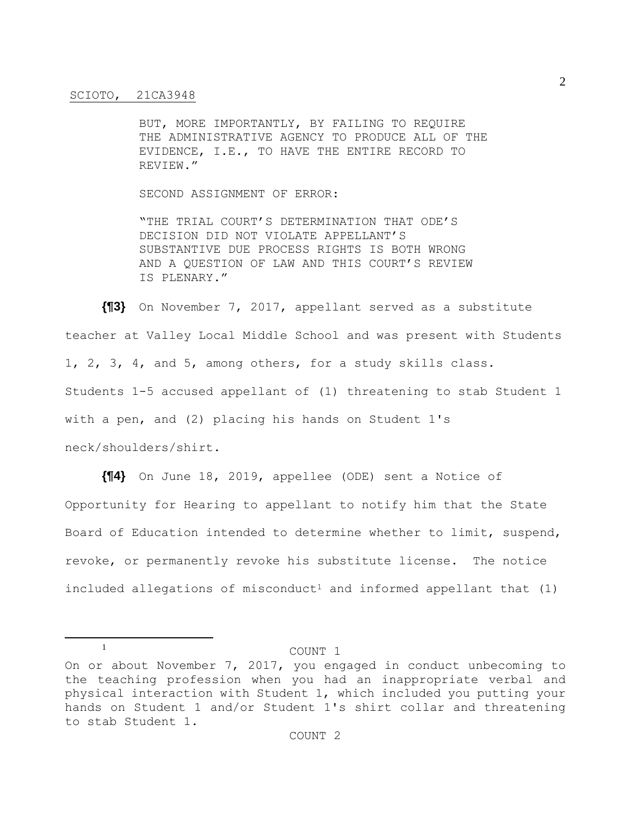BUT, MORE IMPORTANTLY, BY FAILING TO REQUIRE THE ADMINISTRATIVE AGENCY TO PRODUCE ALL OF THE EVIDENCE, I.E., TO HAVE THE ENTIRE RECORD TO REVIEW."

SECOND ASSIGNMENT OF ERROR:

"THE TRIAL COURT'S DETERMINATION THAT ODE'S DECISION DID NOT VIOLATE APPELLANT'S SUBSTANTIVE DUE PROCESS RIGHTS IS BOTH WRONG AND A QUESTION OF LAW AND THIS COURT'S REVIEW IS PLENARY."

**{¶3}** On November 7, 2017, appellant served as a substitute teacher at Valley Local Middle School and was present with Students 1, 2, 3, 4, and 5, among others, for a study skills class. Students 1-5 accused appellant of (1) threatening to stab Student 1 with a pen, and (2) placing his hands on Student 1's neck/shoulders/shirt.

**{¶4}** On June 18, 2019, appellee (ODE) sent a Notice of Opportunity for Hearing to appellant to notify him that the State Board of Education intended to determine whether to limit, suspend, revoke, or permanently revoke his substitute license. The notice included allegations of misconduct<sup>1</sup> and informed appellant that  $(1)$ 

<sup>1</sup> COUNT 1

On or about November 7, 2017, you engaged in conduct unbecoming to the teaching profession when you had an inappropriate verbal and physical interaction with Student 1, which included you putting your hands on Student 1 and/or Student 1's shirt collar and threatening to stab Student 1.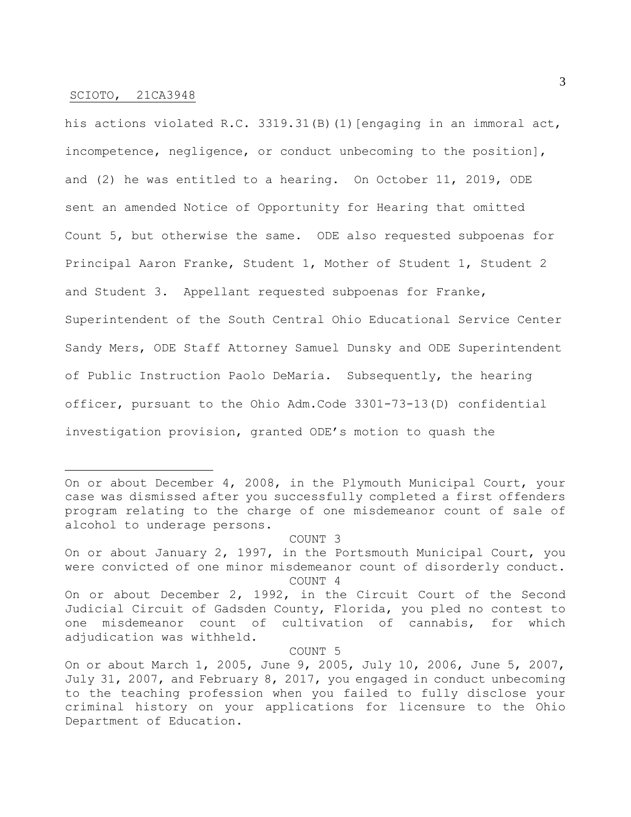his actions violated R.C. 3319.31(B)(1)[engaging in an immoral act, incompetence, negligence, or conduct unbecoming to the position], and (2) he was entitled to a hearing. On October 11, 2019, ODE sent an amended Notice of Opportunity for Hearing that omitted Count 5, but otherwise the same. ODE also requested subpoenas for Principal Aaron Franke, Student 1, Mother of Student 1, Student 2 and Student 3. Appellant requested subpoenas for Franke, Superintendent of the South Central Ohio Educational Service Center Sandy Mers, ODE Staff Attorney Samuel Dunsky and ODE Superintendent of Public Instruction Paolo DeMaria. Subsequently, the hearing officer, pursuant to the Ohio Adm.Code 3301-73-13(D) confidential investigation provision, granted ODE's motion to quash the

#### COUNT 3

#### COUNT 5

On or about December 4, 2008, in the Plymouth Municipal Court, your case was dismissed after you successfully completed a first offenders program relating to the charge of one misdemeanor count of sale of alcohol to underage persons.

On or about January 2, 1997, in the Portsmouth Municipal Court, you were convicted of one minor misdemeanor count of disorderly conduct. COUNT 4

On or about December 2, 1992, in the Circuit Court of the Second Judicial Circuit of Gadsden County, Florida, you pled no contest to one misdemeanor count of cultivation of cannabis, for which adjudication was withheld.

On or about March 1, 2005, June 9, 2005, July 10, 2006, June 5, 2007, July 31, 2007, and February 8, 2017, you engaged in conduct unbecoming to the teaching profession when you failed to fully disclose your criminal history on your applications for licensure to the Ohio Department of Education.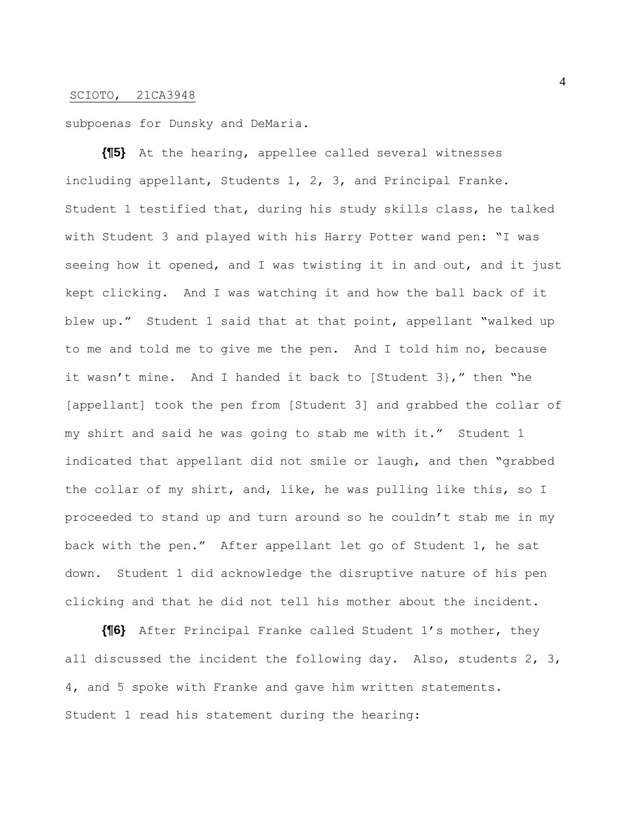subpoenas for Dunsky and DeMaria.

**{¶5}** At the hearing, appellee called several witnesses including appellant, Students 1, 2, 3, and Principal Franke. Student 1 testified that, during his study skills class, he talked with Student 3 and played with his Harry Potter wand pen: "I was seeing how it opened, and I was twisting it in and out, and it just kept clicking. And I was watching it and how the ball back of it blew up." Student 1 said that at that point, appellant "walked up to me and told me to give me the pen. And I told him no, because it wasn't mine. And I handed it back to [Student 3}," then "he [appellant] took the pen from [Student 3] and grabbed the collar of my shirt and said he was going to stab me with it." Student 1 indicated that appellant did not smile or laugh, and then "grabbed the collar of my shirt, and, like, he was pulling like this, so I proceeded to stand up and turn around so he couldn't stab me in my back with the pen." After appellant let go of Student 1, he sat down. Student 1 did acknowledge the disruptive nature of his pen clicking and that he did not tell his mother about the incident.

**{¶6}** After Principal Franke called Student 1's mother, they all discussed the incident the following day. Also, students 2, 3, 4, and 5 spoke with Franke and gave him written statements. Student 1 read his statement during the hearing: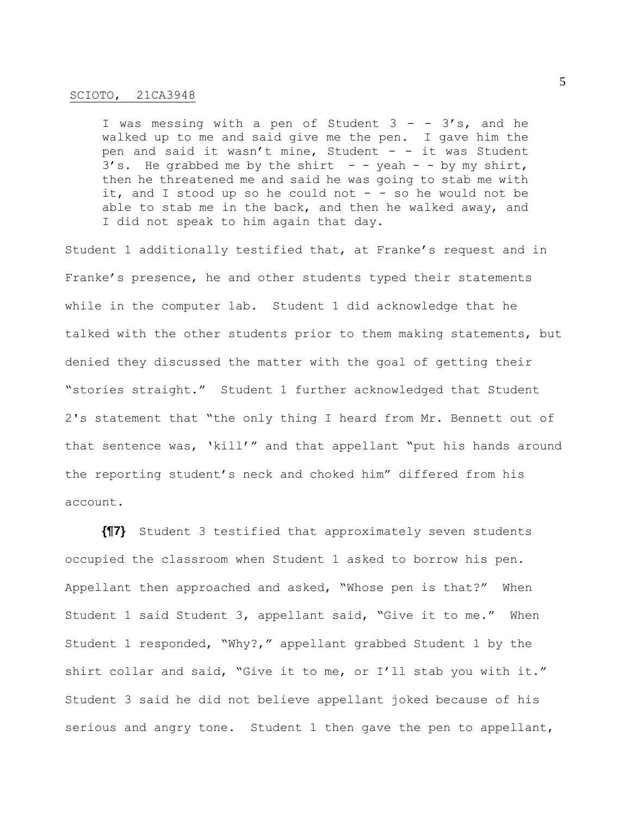I was messing with a pen of Student  $3 - - 3's$ , and he walked up to me and said give me the pen. I gave him the pen and said it wasn't mine, Student - - it was Student  $3'$ s. He grabbed me by the shirt - - yeah - - by my shirt, then he threatened me and said he was going to stab me with it, and I stood up so he could not  $-$  - so he would not be able to stab me in the back, and then he walked away, and I did not speak to him again that day.

Student 1 additionally testified that, at Franke's request and in Franke's presence, he and other students typed their statements while in the computer lab. Student 1 did acknowledge that he talked with the other students prior to them making statements, but denied they discussed the matter with the goal of getting their "stories straight." Student 1 further acknowledged that Student 2's statement that "the only thing I heard from Mr. Bennett out of that sentence was, 'kill'" and that appellant "put his hands around the reporting student's neck and choked him" differed from his account.

**{¶7}** Student 3 testified that approximately seven students occupied the classroom when Student 1 asked to borrow his pen. Appellant then approached and asked, "Whose pen is that?" When Student 1 said Student 3, appellant said, "Give it to me." When Student 1 responded, "Why?," appellant grabbed Student 1 by the shirt collar and said, "Give it to me, or I'll stab you with it." Student 3 said he did not believe appellant joked because of his serious and angry tone. Student 1 then gave the pen to appellant,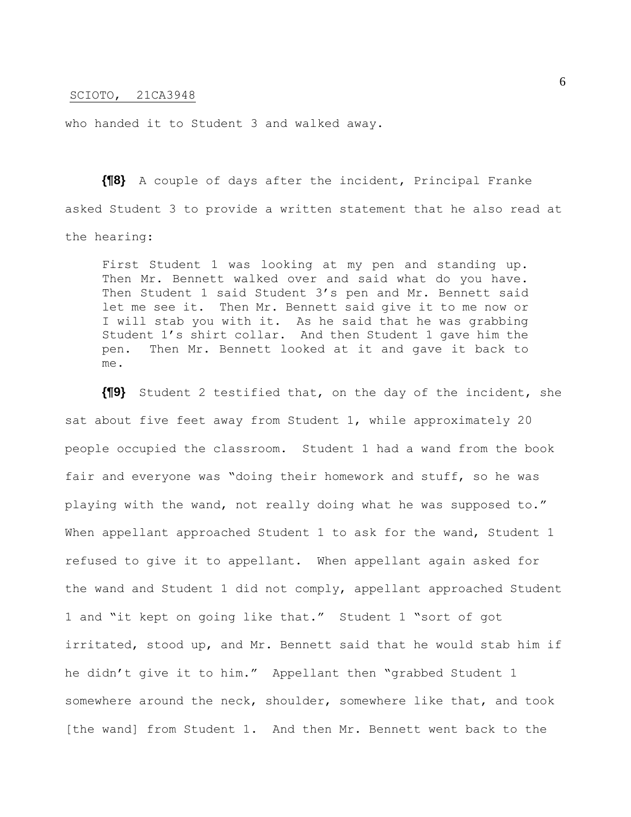who handed it to Student 3 and walked away.

**{¶8}** A couple of days after the incident, Principal Franke asked Student 3 to provide a written statement that he also read at the hearing:

First Student 1 was looking at my pen and standing up. Then Mr. Bennett walked over and said what do you have. Then Student 1 said Student 3's pen and Mr. Bennett said let me see it. Then Mr. Bennett said give it to me now or I will stab you with it. As he said that he was grabbing Student 1's shirt collar. And then Student 1 gave him the pen. Then Mr. Bennett looked at it and gave it back to me.

**{¶9}** Student 2 testified that, on the day of the incident, she sat about five feet away from Student 1, while approximately 20 people occupied the classroom. Student 1 had a wand from the book fair and everyone was "doing their homework and stuff, so he was playing with the wand, not really doing what he was supposed to." When appellant approached Student 1 to ask for the wand, Student 1 refused to give it to appellant. When appellant again asked for the wand and Student 1 did not comply, appellant approached Student 1 and "it kept on going like that." Student 1 "sort of got irritated, stood up, and Mr. Bennett said that he would stab him if he didn't give it to him." Appellant then "grabbed Student 1 somewhere around the neck, shoulder, somewhere like that, and took [the wand] from Student 1. And then Mr. Bennett went back to the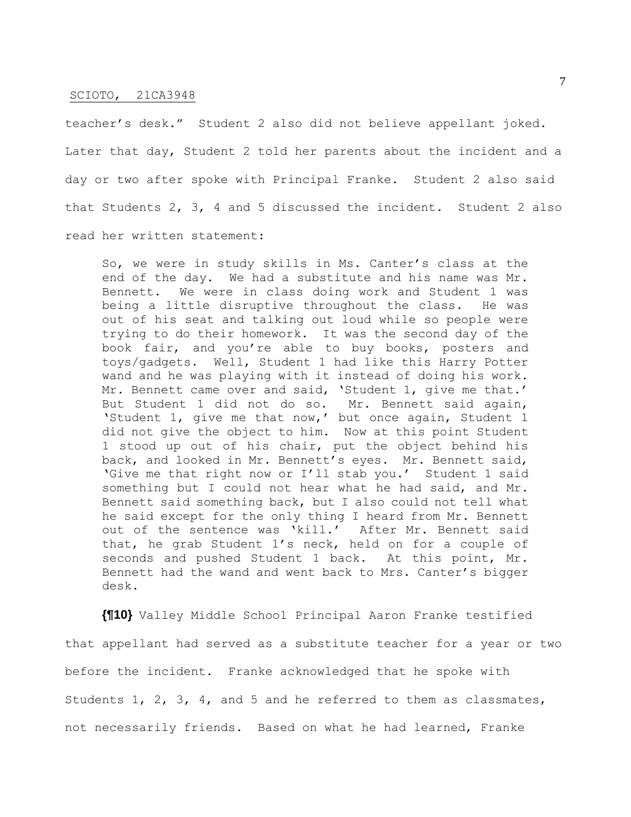teacher's desk." Student 2 also did not believe appellant joked. Later that day, Student 2 told her parents about the incident and a day or two after spoke with Principal Franke. Student 2 also said that Students 2, 3, 4 and 5 discussed the incident. Student 2 also read her written statement:

So, we were in study skills in Ms. Canter's class at the end of the day. We had a substitute and his name was Mr. Bennett. We were in class doing work and Student 1 was being a little disruptive throughout the class. He was out of his seat and talking out loud while so people were trying to do their homework. It was the second day of the book fair, and you're able to buy books, posters and toys/gadgets. Well, Student 1 had like this Harry Potter wand and he was playing with it instead of doing his work. Mr. Bennett came over and said, 'Student 1, give me that.' But Student 1 did not do so. Mr. Bennett said again, 'Student 1, give me that now,' but once again, Student 1 did not give the object to him. Now at this point Student 1 stood up out of his chair, put the object behind his back, and looked in Mr. Bennett's eyes. Mr. Bennett said, 'Give me that right now or I'll stab you.' Student 1 said something but I could not hear what he had said, and Mr. Bennett said something back, but I also could not tell what he said except for the only thing I heard from Mr. Bennett out of the sentence was 'kill.' After Mr. Bennett said that, he grab Student 1's neck, held on for a couple of seconds and pushed Student 1 back. At this point, Mr. Bennett had the wand and went back to Mrs. Canter's bigger desk.

**{¶10}** Valley Middle School Principal Aaron Franke testified that appellant had served as a substitute teacher for a year or two before the incident. Franke acknowledged that he spoke with Students 1, 2, 3, 4, and 5 and he referred to them as classmates, not necessarily friends. Based on what he had learned, Franke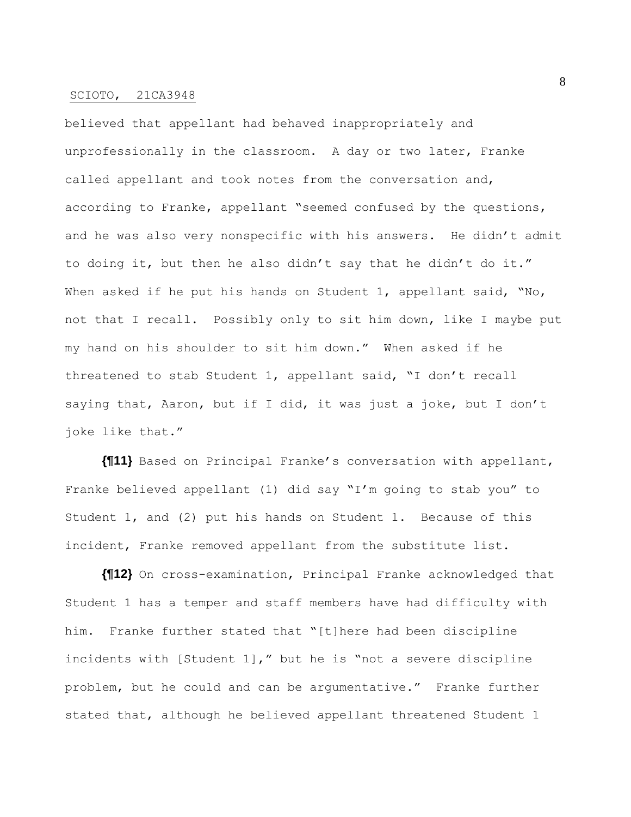believed that appellant had behaved inappropriately and unprofessionally in the classroom. A day or two later, Franke called appellant and took notes from the conversation and, according to Franke, appellant "seemed confused by the questions, and he was also very nonspecific with his answers. He didn't admit to doing it, but then he also didn't say that he didn't do it." When asked if he put his hands on Student 1, appellant said, "No, not that I recall. Possibly only to sit him down, like I maybe put my hand on his shoulder to sit him down." When asked if he threatened to stab Student 1, appellant said, "I don't recall saying that, Aaron, but if I did, it was just a joke, but I don't joke like that."

**{¶11}** Based on Principal Franke's conversation with appellant, Franke believed appellant (1) did say "I'm going to stab you" to Student 1, and (2) put his hands on Student 1. Because of this incident, Franke removed appellant from the substitute list.

**{¶12}** On cross-examination, Principal Franke acknowledged that Student 1 has a temper and staff members have had difficulty with him. Franke further stated that "[t]here had been discipline incidents with [Student 1]," but he is "not a severe discipline problem, but he could and can be argumentative." Franke further stated that, although he believed appellant threatened Student 1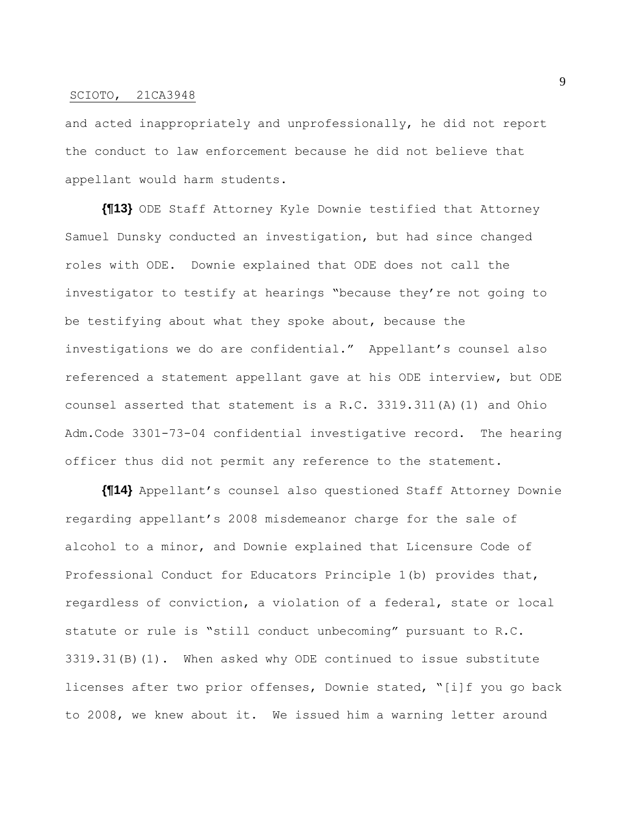and acted inappropriately and unprofessionally, he did not report the conduct to law enforcement because he did not believe that appellant would harm students.

**{¶13}** ODE Staff Attorney Kyle Downie testified that Attorney Samuel Dunsky conducted an investigation, but had since changed roles with ODE. Downie explained that ODE does not call the investigator to testify at hearings "because they're not going to be testifying about what they spoke about, because the investigations we do are confidential." Appellant's counsel also referenced a statement appellant gave at his ODE interview, but ODE counsel asserted that statement is a R.C. 3319.311(A)(1) and Ohio Adm.Code 3301-73-04 confidential investigative record. The hearing officer thus did not permit any reference to the statement.

**{¶14}** Appellant's counsel also questioned Staff Attorney Downie regarding appellant's 2008 misdemeanor charge for the sale of alcohol to a minor, and Downie explained that Licensure Code of Professional Conduct for Educators Principle 1(b) provides that, regardless of conviction, a violation of a federal, state or local statute or rule is "still conduct unbecoming" pursuant to R.C. 3319.31(B)(1). When asked why ODE continued to issue substitute licenses after two prior offenses, Downie stated, "[i]f you go back to 2008, we knew about it. We issued him a warning letter around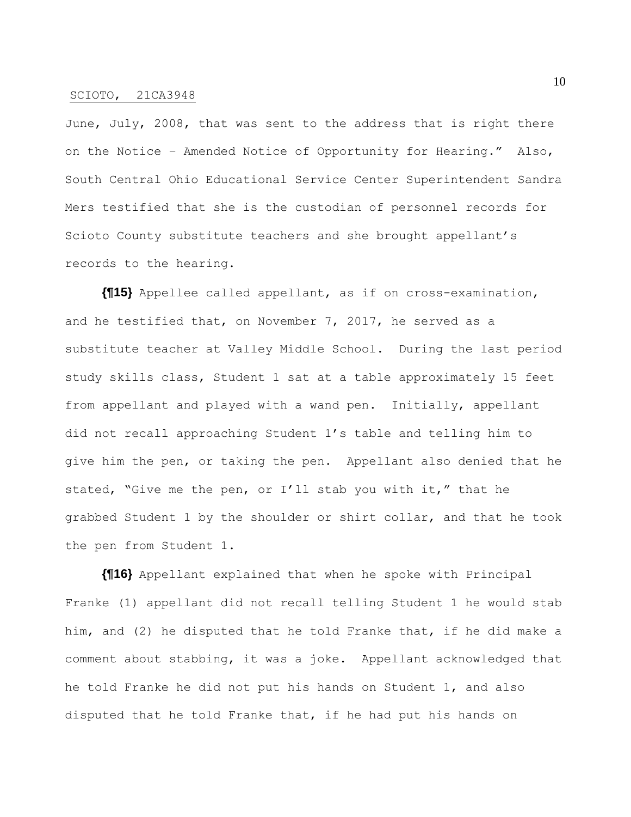June, July, 2008, that was sent to the address that is right there on the Notice – Amended Notice of Opportunity for Hearing." Also, South Central Ohio Educational Service Center Superintendent Sandra Mers testified that she is the custodian of personnel records for Scioto County substitute teachers and she brought appellant's records to the hearing.

**{¶15}** Appellee called appellant, as if on cross-examination, and he testified that, on November 7, 2017, he served as a substitute teacher at Valley Middle School. During the last period study skills class, Student 1 sat at a table approximately 15 feet from appellant and played with a wand pen. Initially, appellant did not recall approaching Student 1's table and telling him to give him the pen, or taking the pen. Appellant also denied that he stated, "Give me the pen, or I'll stab you with it," that he grabbed Student 1 by the shoulder or shirt collar, and that he took the pen from Student 1.

**{¶16}** Appellant explained that when he spoke with Principal Franke (1) appellant did not recall telling Student 1 he would stab him, and (2) he disputed that he told Franke that, if he did make a comment about stabbing, it was a joke. Appellant acknowledged that he told Franke he did not put his hands on Student 1, and also disputed that he told Franke that, if he had put his hands on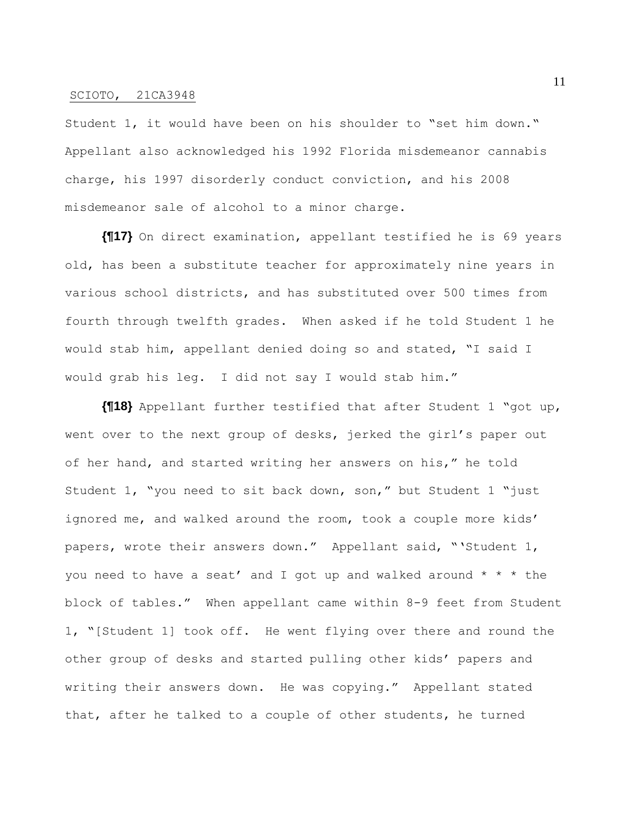Student 1, it would have been on his shoulder to "set him down." Appellant also acknowledged his 1992 Florida misdemeanor cannabis charge, his 1997 disorderly conduct conviction, and his 2008 misdemeanor sale of alcohol to a minor charge.

**{¶17}** On direct examination, appellant testified he is 69 years old, has been a substitute teacher for approximately nine years in various school districts, and has substituted over 500 times from fourth through twelfth grades. When asked if he told Student 1 he would stab him, appellant denied doing so and stated, "I said I would grab his leg. I did not say I would stab him."

**{¶18}** Appellant further testified that after Student 1 "got up, went over to the next group of desks, jerked the girl's paper out of her hand, and started writing her answers on his," he told Student 1, "you need to sit back down, son," but Student 1 "just ignored me, and walked around the room, took a couple more kids' papers, wrote their answers down." Appellant said, "'Student 1, you need to have a seat' and I got up and walked around  $* * *$  the block of tables." When appellant came within 8-9 feet from Student 1, "[Student 1] took off. He went flying over there and round the other group of desks and started pulling other kids' papers and writing their answers down. He was copying." Appellant stated that, after he talked to a couple of other students, he turned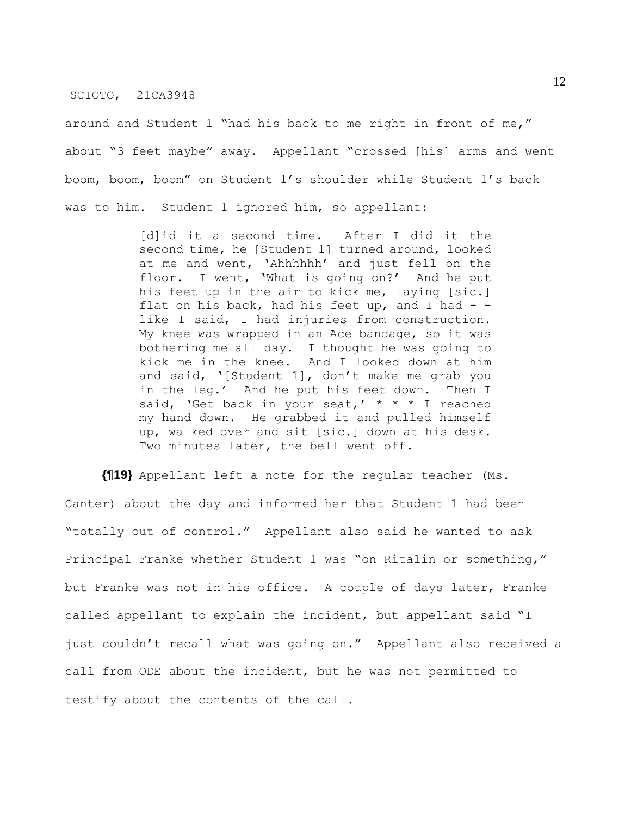around and Student 1 "had his back to me right in front of me," about "3 feet maybe" away. Appellant "crossed [his] arms and went boom, boom, boom" on Student 1's shoulder while Student 1's back was to him. Student 1 ignored him, so appellant:

> [d]id it a second time. After I did it the second time, he [Student 1] turned around, looked at me and went, 'Ahhhhhh' and just fell on the floor. I went, 'What is going on?' And he put his feet up in the air to kick me, laying [sic.] flat on his back, had his feet up, and I had  $$ like I said, I had injuries from construction. My knee was wrapped in an Ace bandage, so it was bothering me all day. I thought he was going to kick me in the knee. And I looked down at him and said, '[Student 1], don't make me grab you in the leg.' And he put his feet down. Then I said, 'Get back in your seat,'  $* * * I$  reached my hand down. He grabbed it and pulled himself up, walked over and sit [sic.] down at his desk. Two minutes later, the bell went off.

**{¶19}** Appellant left a note for the regular teacher (Ms. Canter) about the day and informed her that Student 1 had been "totally out of control." Appellant also said he wanted to ask Principal Franke whether Student 1 was "on Ritalin or something," but Franke was not in his office. A couple of days later, Franke called appellant to explain the incident, but appellant said "I just couldn't recall what was going on." Appellant also received a call from ODE about the incident, but he was not permitted to testify about the contents of the call.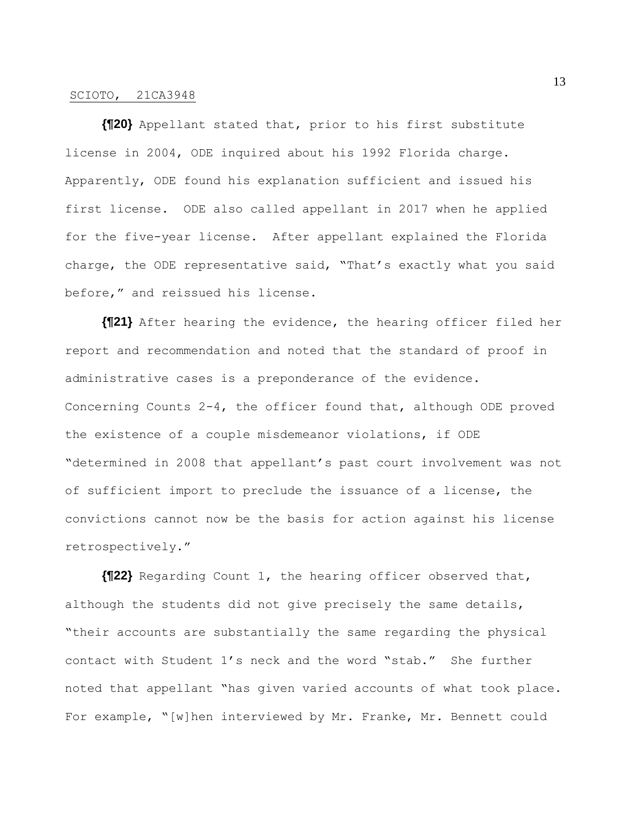**{¶20}** Appellant stated that, prior to his first substitute license in 2004, ODE inquired about his 1992 Florida charge. Apparently, ODE found his explanation sufficient and issued his first license. ODE also called appellant in 2017 when he applied for the five-year license. After appellant explained the Florida charge, the ODE representative said, "That's exactly what you said before," and reissued his license.

**{¶21}** After hearing the evidence, the hearing officer filed her report and recommendation and noted that the standard of proof in administrative cases is a preponderance of the evidence. Concerning Counts 2-4, the officer found that, although ODE proved the existence of a couple misdemeanor violations, if ODE "determined in 2008 that appellant's past court involvement was not of sufficient import to preclude the issuance of a license, the convictions cannot now be the basis for action against his license retrospectively."

**{¶22}** Regarding Count 1, the hearing officer observed that, although the students did not give precisely the same details, "their accounts are substantially the same regarding the physical contact with Student 1's neck and the word "stab." She further noted that appellant "has given varied accounts of what took place. For example, "[w]hen interviewed by Mr. Franke, Mr. Bennett could

13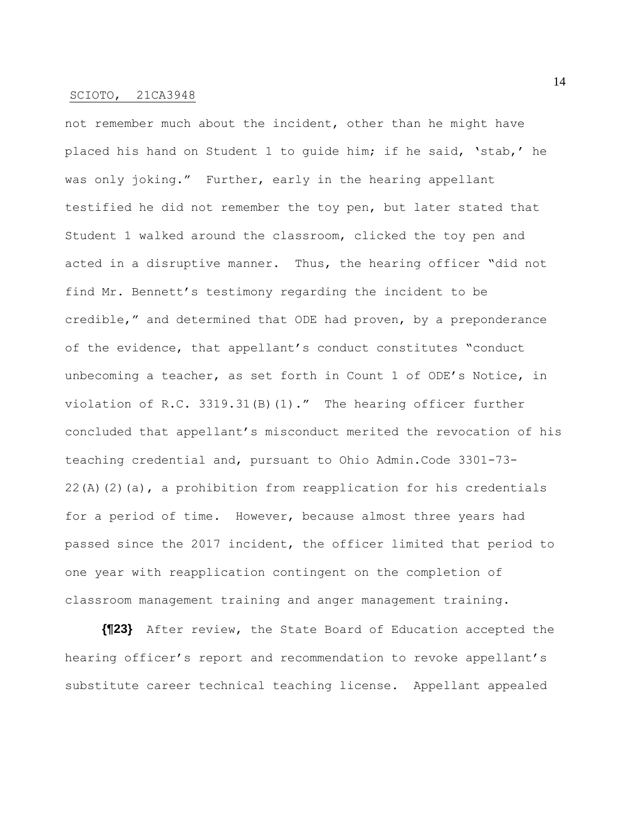not remember much about the incident, other than he might have placed his hand on Student 1 to guide him; if he said, 'stab,' he was only joking." Further, early in the hearing appellant testified he did not remember the toy pen, but later stated that Student 1 walked around the classroom, clicked the toy pen and acted in a disruptive manner. Thus, the hearing officer "did not find Mr. Bennett's testimony regarding the incident to be credible," and determined that ODE had proven, by a preponderance of the evidence, that appellant's conduct constitutes "conduct unbecoming a teacher, as set forth in Count 1 of ODE's Notice, in violation of R.C. 3319.31(B)(1)." The hearing officer further concluded that appellant's misconduct merited the revocation of his teaching credential and, pursuant to Ohio Admin.Code 3301-73- 22(A)(2)(a), a prohibition from reapplication for his credentials for a period of time. However, because almost three years had passed since the 2017 incident, the officer limited that period to one year with reapplication contingent on the completion of classroom management training and anger management training.

**{¶23}** After review, the State Board of Education accepted the hearing officer's report and recommendation to revoke appellant's substitute career technical teaching license. Appellant appealed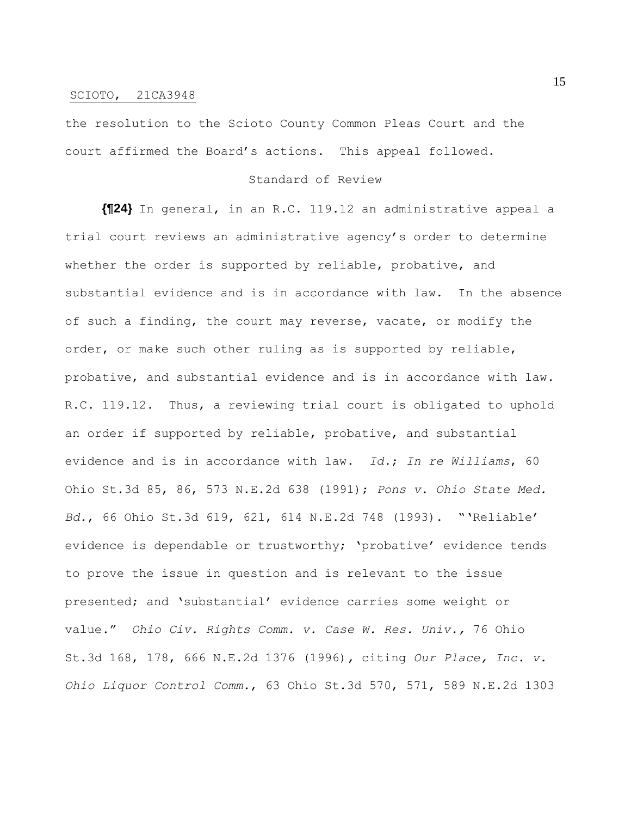the resolution to the Scioto County Common Pleas Court and the court affirmed the Board's actions. This appeal followed.

#### Standard of Review

**{¶24}** In general, in an R.C. 119.12 an administrative appeal a trial court reviews an administrative agency's order to determine whether the order is supported by reliable, probative, and substantial evidence and is in accordance with law. In the absence of such a finding, the court may reverse, vacate, or modify the order, or make such other ruling as is supported by reliable, probative, and substantial evidence and is in accordance with law. R.C. 119.12. Thus, a reviewing trial court is obligated to uphold an order if supported by reliable, probative, and substantial evidence and is in accordance with law. *Id.*; *In re Williams*, 60 Ohio St.3d 85, 86, 573 N.E.2d 638 (1991); *Pons v. Ohio State Med. Bd.*, 66 Ohio St.3d 619, 621, 614 N.E.2d 748 (1993). "'Reliable' evidence is dependable or trustworthy; 'probative' evidence tends to prove the issue in question and is relevant to the issue presented; and 'substantial' evidence carries some weight or value." *Ohio Civ. Rights Comm. v. Case W. Res. Univ.,* 76 Ohio St.3d 168, 178, 666 N.E.2d 1376 (1996)*,* citing *Our Place, Inc. v. Ohio Liquor Control Comm.*, 63 Ohio St.3d 570, 571, 589 N.E.2d 1303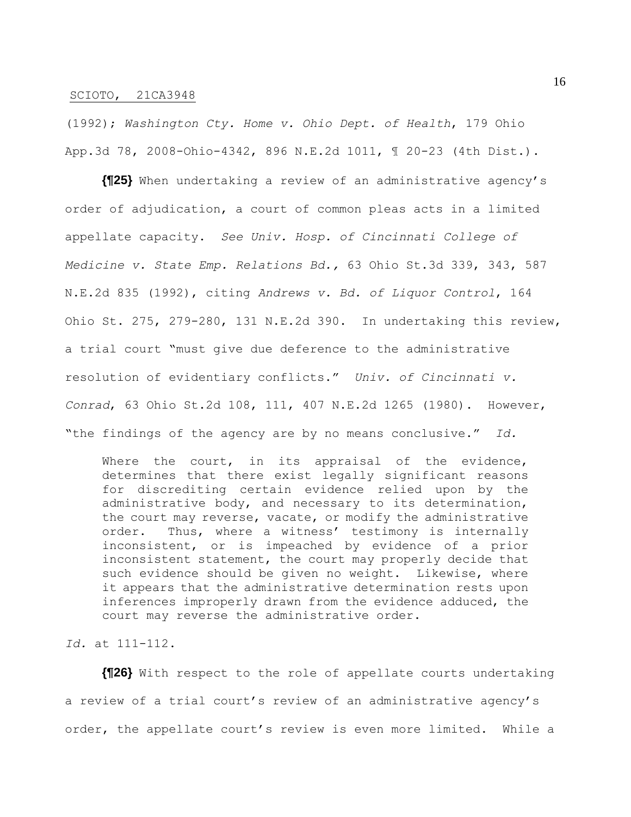(1992); *Washington Cty. Home v. Ohio Dept. of Health*, 179 Ohio App.3d 78, 2008-Ohio-4342, 896 N.E.2d 1011, ¶ 20-23 (4th Dist.).

**{¶25}** When undertaking a review of an administrative agency's order of adjudication, a court of common pleas acts in a limited appellate capacity. *See Univ. Hosp. of Cincinnati College of Medicine v. State Emp. Relations Bd.,* 63 Ohio St.3d 339, 343, 587 N.E.2d 835 (1992), citing *Andrews v. Bd. of Liquor Control*, 164 Ohio St. 275, 279-280, 131 N.E.2d 390. In undertaking this review, a trial court "must give due deference to the administrative resolution of evidentiary conflicts." *Univ. of Cincinnati v. Conrad*, 63 Ohio St.2d 108, 111, 407 N.E.2d 1265 (1980). However, "the findings of the agency are by no means conclusive." *Id.*

Where the court, in its appraisal of the evidence, determines that there exist legally significant reasons for discrediting certain evidence relied upon by the administrative body, and necessary to its determination, the court may reverse, vacate, or modify the administrative order. Thus, where a witness' testimony is internally inconsistent, or is impeached by evidence of a prior inconsistent statement, the court may properly decide that such evidence should be given no weight. Likewise, where it appears that the administrative determination rests upon inferences improperly drawn from the evidence adduced, the court may reverse the administrative order.

## *Id.* at 111-112.

**{¶26}** With respect to the role of appellate courts undertaking a review of a trial court's review of an administrative agency's order, the appellate court's review is even more limited. While a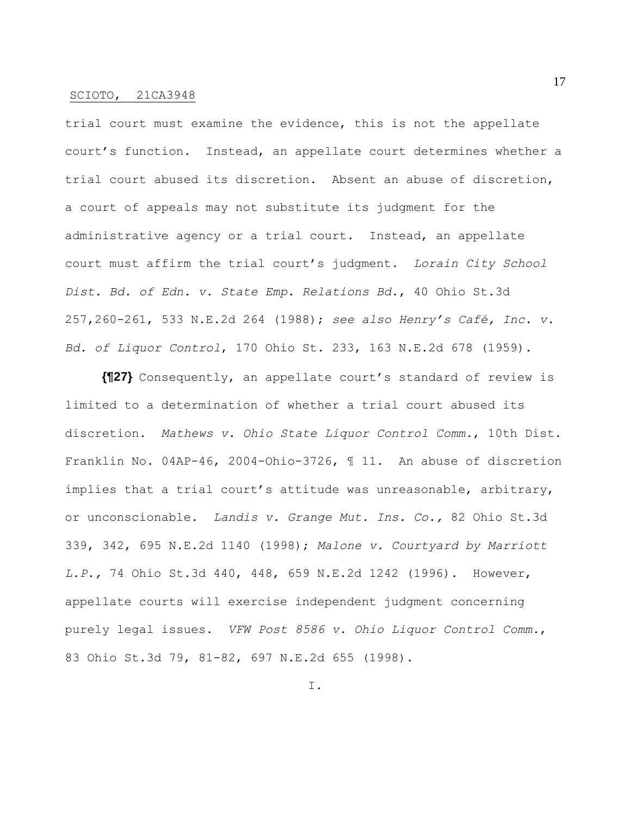trial court must examine the evidence, this is not the appellate court's function. Instead, an appellate court determines whether a trial court abused its discretion. Absent an abuse of discretion, a court of appeals may not substitute its judgment for the administrative agency or a trial court. Instead, an appellate court must affirm the trial court's judgment. *Lorain City School Dist. Bd. of Edn. v. State Emp. Relations Bd.*, 40 Ohio St.3d 257,260-261, 533 N.E.2d 264 (1988); *see also Henry's Café, Inc. v. Bd. of Liquor Control*, 170 Ohio St. 233, 163 N.E.2d 678 (1959).

**{¶27}** Consequently, an appellate court's standard of review is limited to a determination of whether a trial court abused its discretion. *Mathews v. Ohio State Liquor Control Comm.*, 10th Dist. Franklin No. 04AP-46, 2004-Ohio-3726, ¶ 11. An abuse of discretion implies that a trial court's attitude was unreasonable, arbitrary, or unconscionable. *Landis v. Grange Mut. Ins. Co.,* 82 Ohio St.3d 339, 342, 695 N.E.2d 1140 (1998); *Malone v. Courtyard by Marriott L.P.,* 74 Ohio St.3d 440, 448, 659 N.E.2d 1242 (1996). However, appellate courts will exercise independent judgment concerning purely legal issues. *VFW Post 8586 v. Ohio Liquor Control Comm.*, 83 Ohio St.3d 79, 81-82, 697 N.E.2d 655 (1998).

17

I.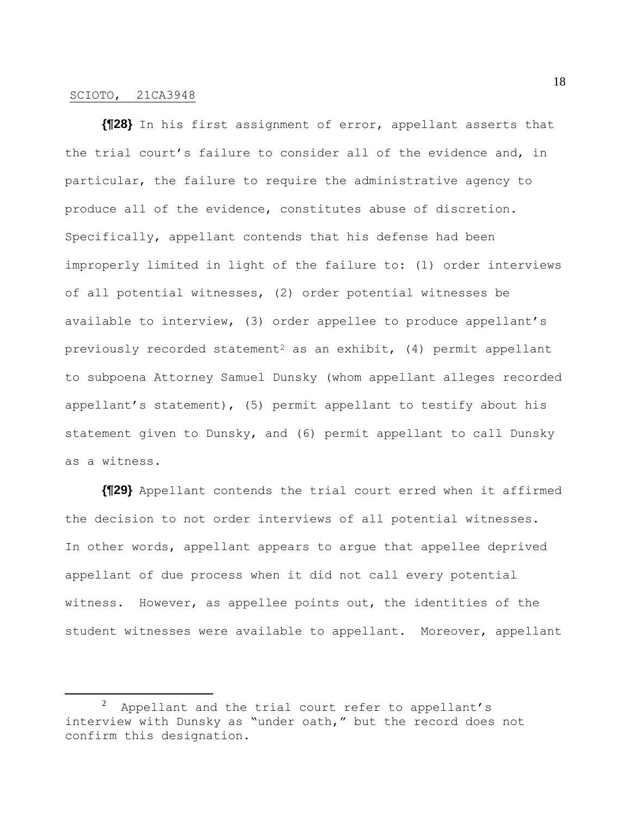**{¶28}** In his first assignment of error, appellant asserts that the trial court's failure to consider all of the evidence and, in particular, the failure to require the administrative agency to produce all of the evidence, constitutes abuse of discretion. Specifically, appellant contends that his defense had been improperly limited in light of the failure to: (1) order interviews of all potential witnesses, (2) order potential witnesses be available to interview, (3) order appellee to produce appellant's previously recorded statement<sup>2</sup> as an exhibit,  $(4)$  permit appellant to subpoena Attorney Samuel Dunsky (whom appellant alleges recorded appellant's statement), (5) permit appellant to testify about his statement given to Dunsky, and (6) permit appellant to call Dunsky as a witness.

**{¶29}** Appellant contends the trial court erred when it affirmed the decision to not order interviews of all potential witnesses. In other words, appellant appears to argue that appellee deprived appellant of due process when it did not call every potential witness. However, as appellee points out, the identities of the student witnesses were available to appellant. Moreover, appellant

 $2$  Appellant and the trial court refer to appellant's interview with Dunsky as "under oath," but the record does not confirm this designation.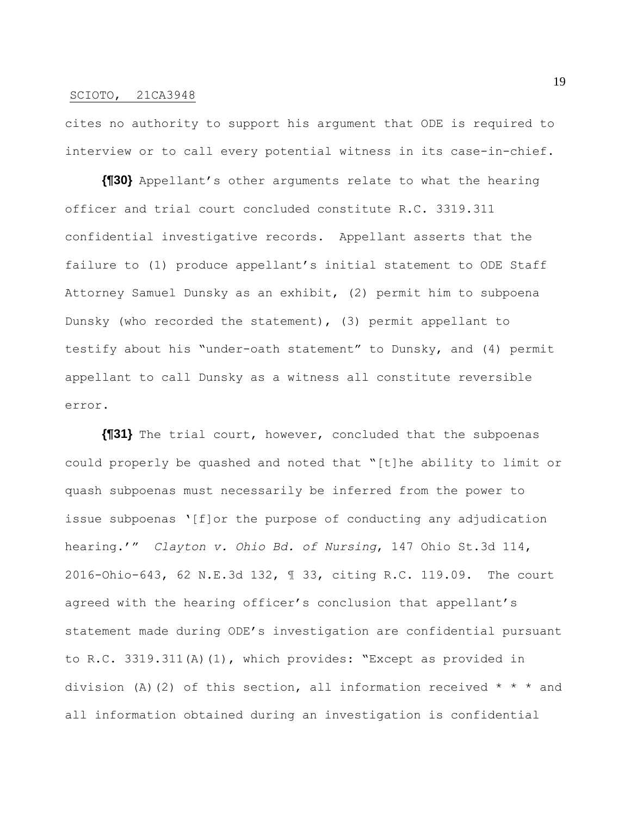cites no authority to support his argument that ODE is required to interview or to call every potential witness in its case-in-chief.

**{¶30}** Appellant's other arguments relate to what the hearing officer and trial court concluded constitute R.C. 3319.311 confidential investigative records. Appellant asserts that the failure to (1) produce appellant's initial statement to ODE Staff Attorney Samuel Dunsky as an exhibit, (2) permit him to subpoena Dunsky (who recorded the statement), (3) permit appellant to testify about his "under-oath statement" to Dunsky, and (4) permit appellant to call Dunsky as a witness all constitute reversible error.

**{¶31}** The trial court, however, concluded that the subpoenas could properly be quashed and noted that "[t]he ability to limit or quash subpoenas must necessarily be inferred from the power to issue subpoenas '[f]or the purpose of conducting any adjudication hearing.'" *Clayton v. Ohio Bd. of Nursing*, 147 Ohio St.3d 114, 2016-Ohio-643, 62 N.E.3d 132, ¶ 33, citing R.C. 119.09. The court agreed with the hearing officer's conclusion that appellant's statement made during ODE's investigation are confidential pursuant to R.C. 3319.311(A)(1), which provides: "Except as provided in division (A)(2) of this section, all information received  $* * *$  and all information obtained during an investigation is confidential

19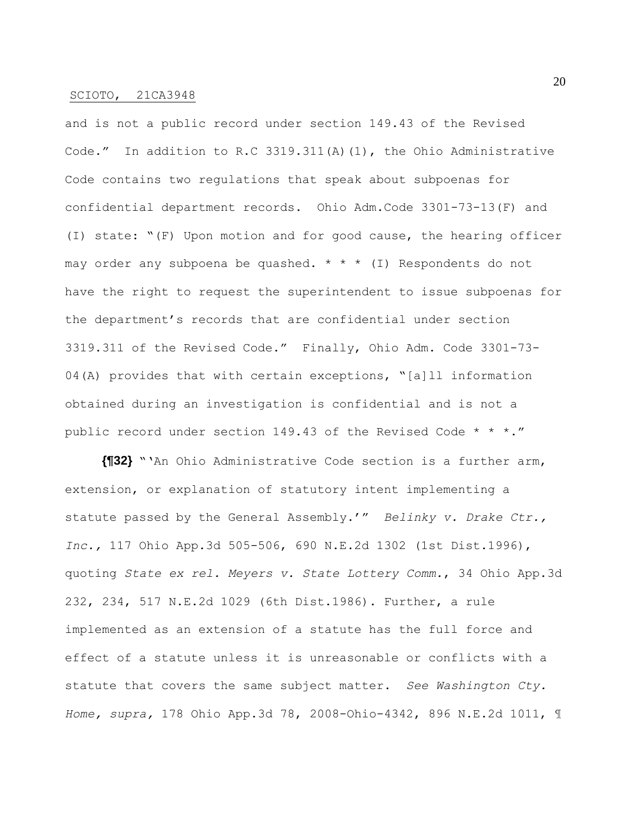and is not a public record under section 149.43 of the Revised Code." In addition to R.C 3319.311(A)(1), the Ohio Administrative Code contains two regulations that speak about subpoenas for confidential department records. Ohio Adm.Code 3301-73-13(F) and (I) state: "(F) Upon motion and for good cause, the hearing officer may order any subpoena be quashed. \* \* \* (I) Respondents do not have the right to request the superintendent to issue subpoenas for the department's records that are confidential under section 3319.311 of the Revised Code." Finally, Ohio Adm. Code 3301-73- 04(A) provides that with certain exceptions, "[a]ll information obtained during an investigation is confidential and is not a public record under section 149.43 of the Revised Code \* \* \*."

**{¶32}** "'An Ohio Administrative Code section is a further arm, extension, or explanation of statutory intent implementing a statute passed by the General Assembly.'" *Belinky v. Drake Ctr., Inc.,* 117 Ohio App.3d 505-506, 690 N.E.2d 1302 (1st Dist.1996), quoting *State ex rel. Meyers v. State Lottery Comm.*, 34 Ohio App.3d 232, 234, 517 N.E.2d 1029 (6th Dist.1986). Further, a rule implemented as an extension of a statute has the full force and effect of a statute unless it is unreasonable or conflicts with a statute that covers the same subject matter. *See Washington Cty. Home, supra,* 178 Ohio App.3d 78, 2008-Ohio-4342, 896 N.E.2d 1011, ¶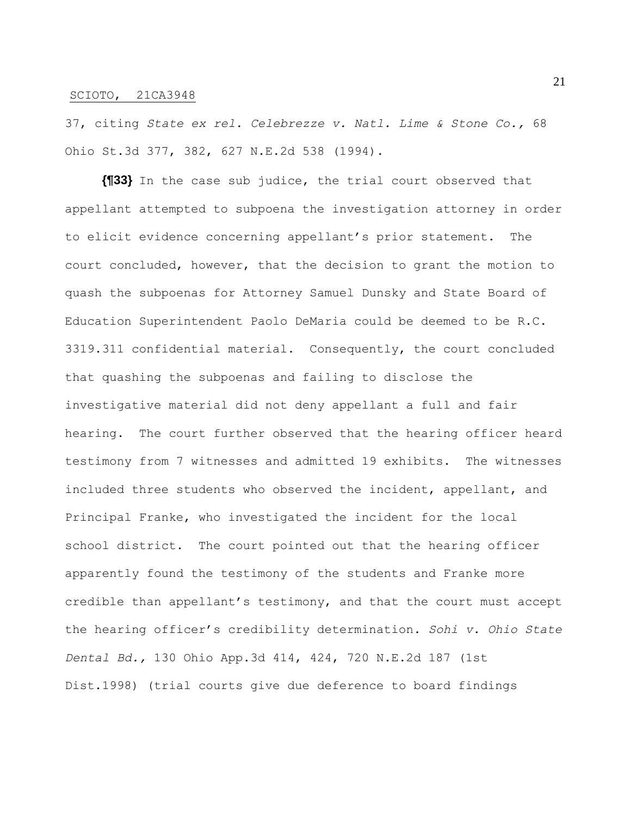37, citing *State ex rel. Celebrezze v. Natl. Lime & Stone Co.,* 68 Ohio St.3d 377, 382, 627 N.E.2d 538 (1994).

**{¶33}** In the case sub judice, the trial court observed that appellant attempted to subpoena the investigation attorney in order to elicit evidence concerning appellant's prior statement. The court concluded, however, that the decision to grant the motion to quash the subpoenas for Attorney Samuel Dunsky and State Board of Education Superintendent Paolo DeMaria could be deemed to be R.C. 3319.311 confidential material. Consequently, the court concluded that quashing the subpoenas and failing to disclose the investigative material did not deny appellant a full and fair hearing. The court further observed that the hearing officer heard testimony from 7 witnesses and admitted 19 exhibits. The witnesses included three students who observed the incident, appellant, and Principal Franke, who investigated the incident for the local school district. The court pointed out that the hearing officer apparently found the testimony of the students and Franke more credible than appellant's testimony, and that the court must accept the hearing officer's credibility determination. *Sohi v. Ohio State Dental Bd.,* 130 Ohio App.3d 414, 424, 720 N.E.2d 187 (1st Dist.1998) (trial courts give due deference to board findings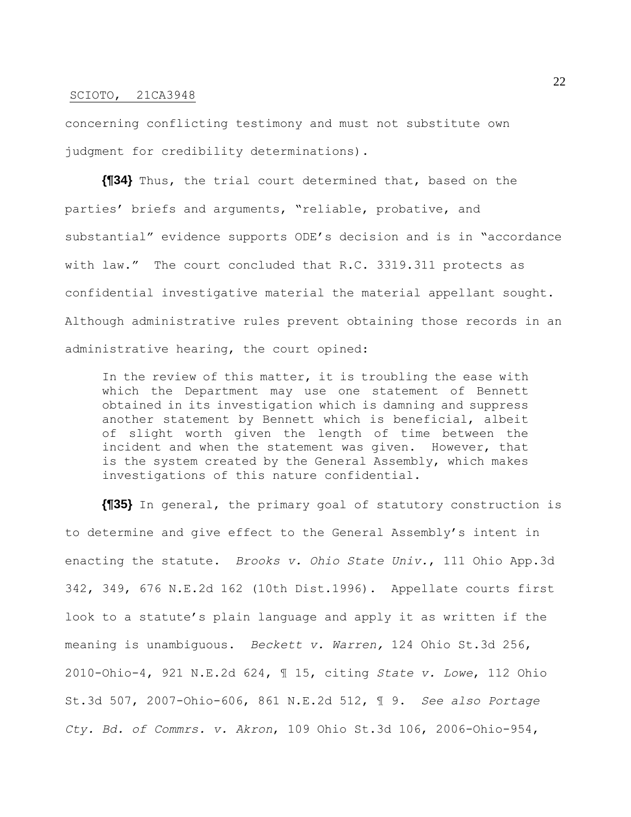concerning conflicting testimony and must not substitute own judgment for credibility determinations).

**{¶34}** Thus, the trial court determined that, based on the parties' briefs and arguments, "reliable, probative, and substantial" evidence supports ODE's decision and is in "accordance with law." The court concluded that R.C. 3319.311 protects as confidential investigative material the material appellant sought. Although administrative rules prevent obtaining those records in an administrative hearing, the court opined:

In the review of this matter, it is troubling the ease with which the Department may use one statement of Bennett obtained in its investigation which is damning and suppress another statement by Bennett which is beneficial, albeit of slight worth given the length of time between the incident and when the statement was given. However, that is the system created by the General Assembly, which makes investigations of this nature confidential.

**{¶35}** In general, the primary goal of statutory construction is to determine and give effect to the General Assembly's intent in enacting the statute. *Brooks v. Ohio State Univ.*, 111 Ohio App.3d 342, 349, 676 N.E.2d 162 (10th Dist.1996). Appellate courts first look to a statute's plain language and apply it as written if the meaning is unambiguous. *Beckett v. Warren,* 124 Ohio St.3d 256, 2010-Ohio-4, 921 N.E.2d 624, ¶ 15, citing *State v. Lowe*, 112 Ohio St.3d 507, 2007-Ohio-606, 861 N.E.2d 512, ¶ 9. *See also Portage Cty. Bd. of Commrs. v. Akron*, 109 Ohio St.3d 106, 2006-Ohio-954,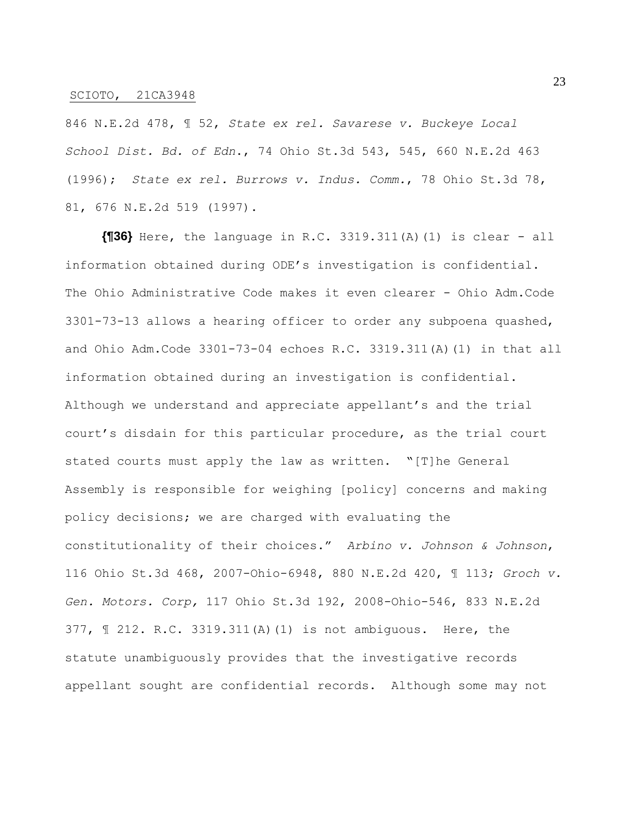846 N.E.2d 478, ¶ 52, *State ex rel. Savarese v. Buckeye Local School Dist. Bd. of Edn*., 74 Ohio St.3d 543, 545, 660 N.E.2d 463 (1996); *State ex rel. Burrows v. Indus. Comm.*, 78 Ohio St.3d 78, 81, 676 N.E.2d 519 (1997).

**{¶36}** Here, the language in R.C. 3319.311(A)(1) is clear - all information obtained during ODE's investigation is confidential. The Ohio Administrative Code makes it even clearer - Ohio Adm.Code 3301-73-13 allows a hearing officer to order any subpoena quashed, and Ohio Adm.Code 3301-73-04 echoes R.C. 3319.311(A)(1) in that all information obtained during an investigation is confidential. Although we understand and appreciate appellant's and the trial court's disdain for this particular procedure, as the trial court stated courts must apply the law as written. "[T]he General Assembly is responsible for weighing [policy] concerns and making policy decisions; we are charged with evaluating the constitutionality of their choices." *Arbino v. Johnson & Johnson*, 116 Ohio St.3d 468, 2007-Ohio-6948, 880 N.E.2d 420, ¶ 113; *Groch v. Gen. Motors. Corp,* 117 Ohio St.3d 192, 2008-Ohio-546, 833 N.E.2d 377, ¶ 212. R.C. 3319.311(A)(1) is not ambiguous. Here, the statute unambiguously provides that the investigative records appellant sought are confidential records. Although some may not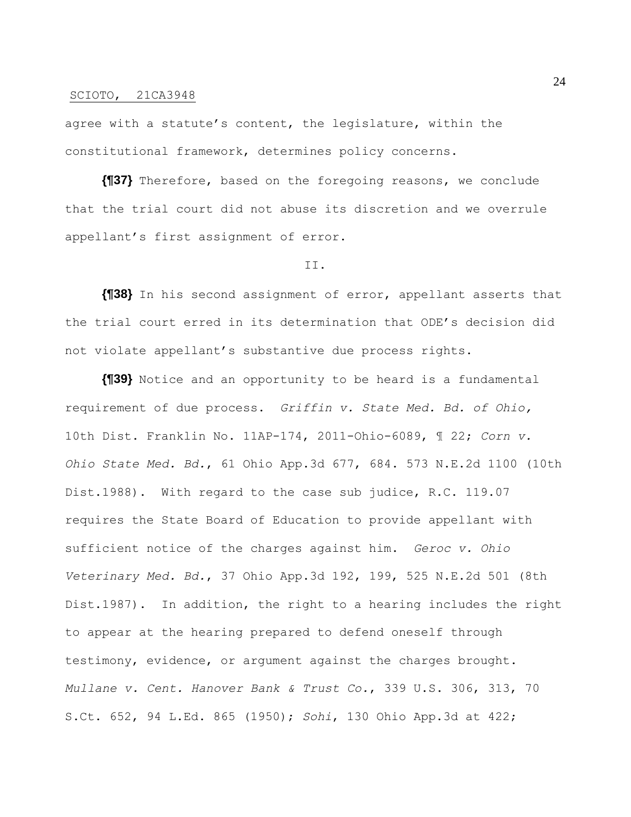agree with a statute's content, the legislature, within the constitutional framework, determines policy concerns.

**{¶37}** Therefore, based on the foregoing reasons, we conclude that the trial court did not abuse its discretion and we overrule appellant's first assignment of error.

#### II.

**{¶38}** In his second assignment of error, appellant asserts that the trial court erred in its determination that ODE's decision did not violate appellant's substantive due process rights.

**{¶39}** Notice and an opportunity to be heard is a fundamental requirement of due process. *Griffin v. State Med. Bd. of Ohio,*  10th Dist. Franklin No. 11AP-174, 2011-Ohio-6089, ¶ 22; *Corn v. Ohio State Med. Bd.*, 61 Ohio App.3d 677, 684. 573 N.E.2d 1100 (10th Dist.1988). With regard to the case sub judice, R.C. 119.07 requires the State Board of Education to provide appellant with sufficient notice of the charges against him. *Geroc v. Ohio Veterinary Med. Bd.*, 37 Ohio App.3d 192, 199, 525 N.E.2d 501 (8th Dist.1987). In addition, the right to a hearing includes the right to appear at the hearing prepared to defend oneself through testimony, evidence, or argument against the charges brought. *Mullane v. Cent. Hanover Bank & Trust Co.*, 339 U.S. 306, 313, 70 S.Ct. 652, 94 L.Ed. 865 (1950); *Sohi*, 130 Ohio App.3d at 422;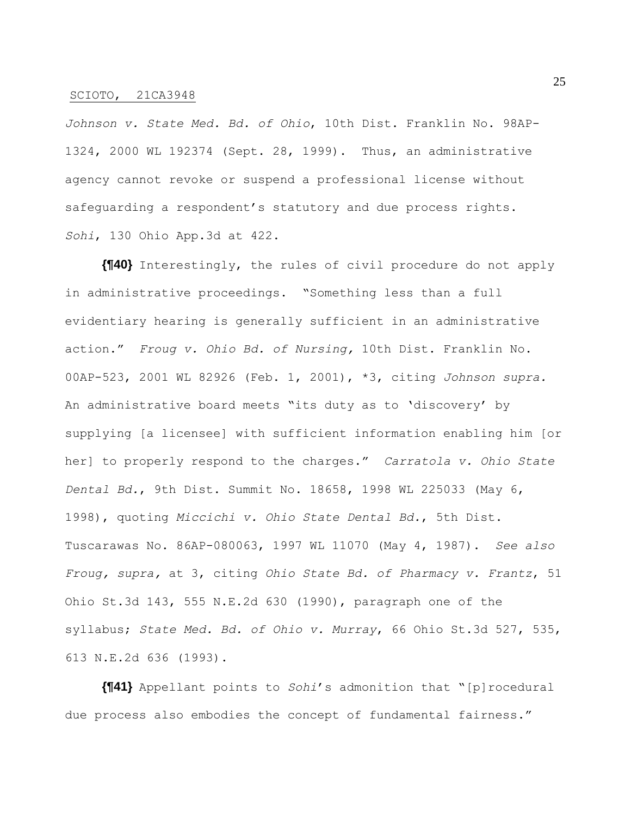*Johnson v. State Med. Bd. of Ohio*, 10th Dist. Franklin No. 98AP-1324, 2000 WL 192374 (Sept. 28, 1999). Thus, an administrative agency cannot revoke or suspend a professional license without safeguarding a respondent's statutory and due process rights. *Sohi*, 130 Ohio App.3d at 422.

**{¶40}** Interestingly, the rules of civil procedure do not apply in administrative proceedings. "Something less than a full evidentiary hearing is generally sufficient in an administrative action." *Froug v. Ohio Bd. of Nursing,* 10th Dist. Franklin No. 00AP-523, 2001 WL 82926 (Feb. 1, 2001), \*3, citing *Johnson supra.*  An administrative board meets "its duty as to 'discovery' by supplying [a licensee] with sufficient information enabling him [or her] to properly respond to the charges." *Carratola v. Ohio State Dental Bd.*, 9th Dist. Summit No. 18658, 1998 WL 225033 (May 6, 1998), quoting *Miccichi v. Ohio State Dental Bd.*, 5th Dist. Tuscarawas No. 86AP-080063, 1997 WL 11070 (May 4, 1987). *See also Froug, supra,* at 3, citing *Ohio State Bd. of Pharmacy v. Frantz*, 51 Ohio St.3d 143, 555 N.E.2d 630 (1990), paragraph one of the syllabus; *State Med. Bd. of Ohio v. Murray*, 66 Ohio St.3d 527, 535, 613 N.E.2d 636 (1993).

**{¶41}** Appellant points to *Sohi*'s admonition that "[p]rocedural due process also embodies the concept of fundamental fairness."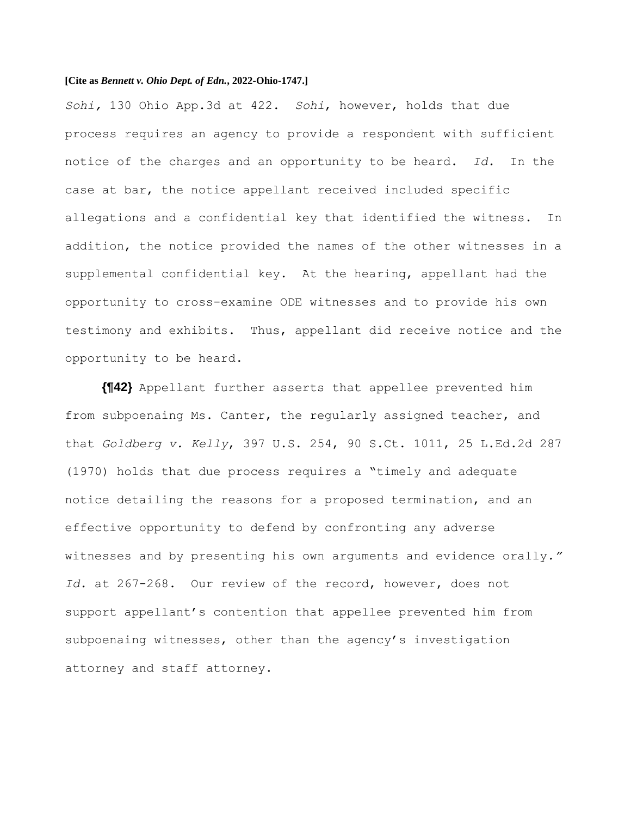## **[Cite as** *Bennett v. Ohio Dept. of Edn.***, 2022-Ohio-1747.]**

*Sohi,* 130 Ohio App.3d at 422. *Sohi*, however, holds that due process requires an agency to provide a respondent with sufficient notice of the charges and an opportunity to be heard. *Id.* In the case at bar, the notice appellant received included specific allegations and a confidential key that identified the witness. In addition, the notice provided the names of the other witnesses in a supplemental confidential key. At the hearing, appellant had the opportunity to cross-examine ODE witnesses and to provide his own testimony and exhibits. Thus, appellant did receive notice and the opportunity to be heard.

**{¶42}** Appellant further asserts that appellee prevented him from subpoenaing Ms. Canter, the regularly assigned teacher, and that *Goldberg v. Kelly*, 397 U.S. 254, 90 S.Ct. 1011, 25 L.Ed.2d 287 (1970) holds that due process requires a "timely and adequate notice detailing the reasons for a proposed termination, and an effective opportunity to defend by confronting any adverse witnesses and by presenting his own arguments and evidence orally*." Id.* at 267-268. Our review of the record, however, does not support appellant's contention that appellee prevented him from subpoenaing witnesses, other than the agency's investigation attorney and staff attorney.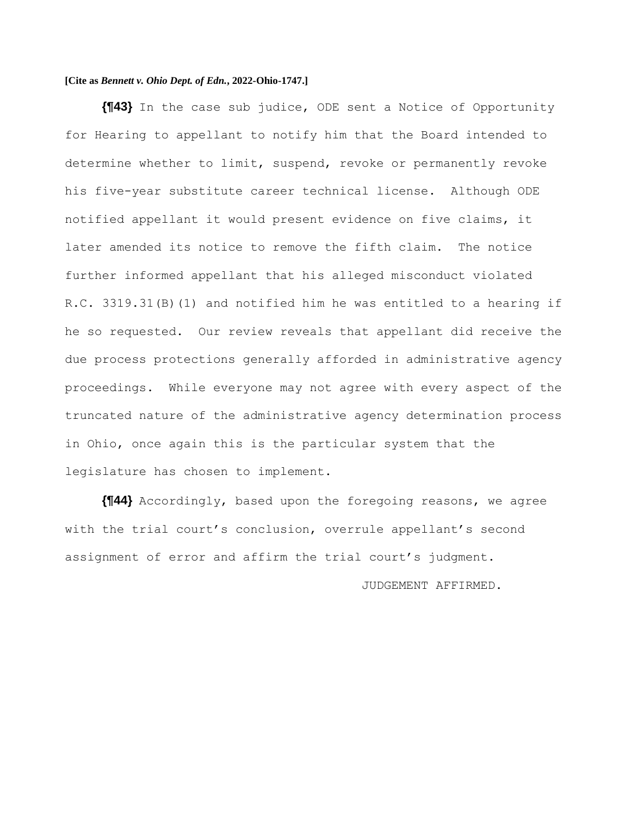# **[Cite as** *Bennett v. Ohio Dept. of Edn.***, 2022-Ohio-1747.]**

**{¶43}** In the case sub judice, ODE sent a Notice of Opportunity for Hearing to appellant to notify him that the Board intended to determine whether to limit, suspend, revoke or permanently revoke his five-year substitute career technical license. Although ODE notified appellant it would present evidence on five claims, it later amended its notice to remove the fifth claim. The notice further informed appellant that his alleged misconduct violated R.C. 3319.31(B)(1) and notified him he was entitled to a hearing if he so requested. Our review reveals that appellant did receive the due process protections generally afforded in administrative agency proceedings. While everyone may not agree with every aspect of the truncated nature of the administrative agency determination process in Ohio, once again this is the particular system that the legislature has chosen to implement.

**{¶44}** Accordingly, based upon the foregoing reasons, we agree with the trial court's conclusion, overrule appellant's second assignment of error and affirm the trial court's judgment.

JUDGEMENT AFFIRMED.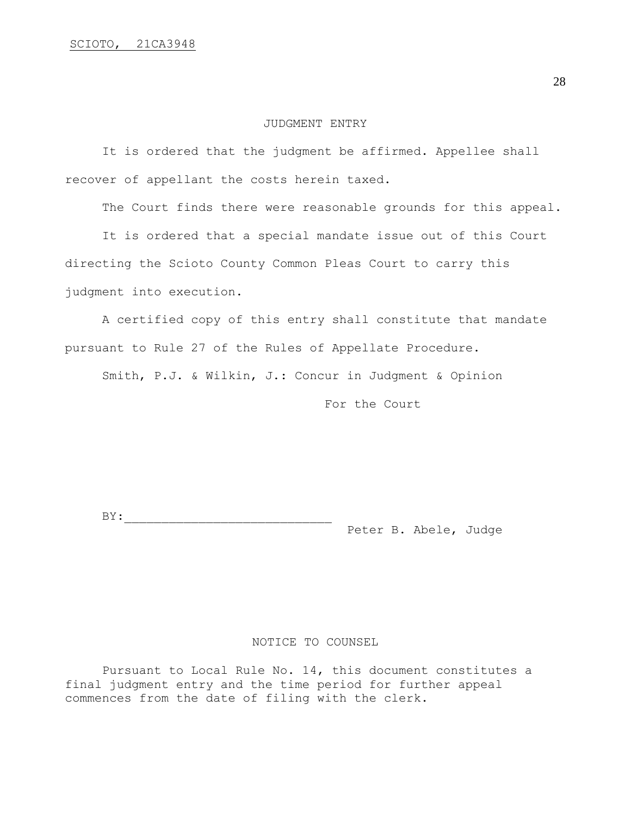#### JUDGMENT ENTRY

It is ordered that the judgment be affirmed. Appellee shall recover of appellant the costs herein taxed.

The Court finds there were reasonable grounds for this appeal.

It is ordered that a special mandate issue out of this Court directing the Scioto County Common Pleas Court to carry this judgment into execution.

A certified copy of this entry shall constitute that mandate pursuant to Rule 27 of the Rules of Appellate Procedure.

Smith, P.J. & Wilkin, J.: Concur in Judgment & Opinion

For the Court

 $BY:$ Peter B. Abele, Judge

### NOTICE TO COUNSEL

Pursuant to Local Rule No. 14, this document constitutes a final judgment entry and the time period for further appeal commences from the date of filing with the clerk.